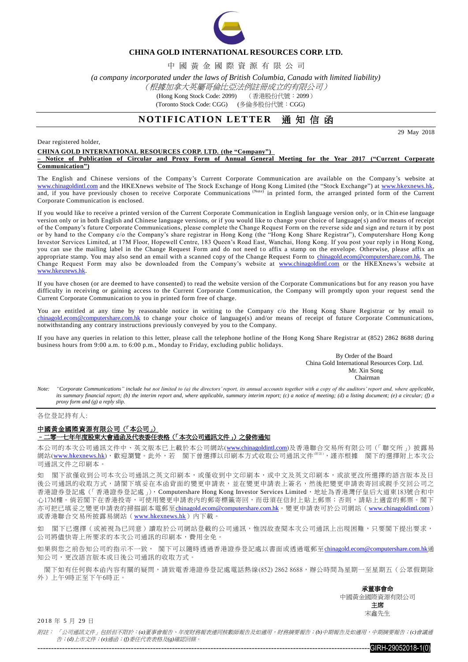

### **CHINA GOLD INTERNATIONAL RESOURCES CORP. LTD.**

中 國 黃 金 國 際 資 源 有 限 公 司

*(a company incorporated under the laws of British Columbia, Canada with limited liability)*

### (根據加拿大英屬哥倫比亞法例註冊成立的有限公司)

(Hong Kong Stock Code: 2099) (香港股份代號:2099)

(Toronto Stock Code: CGG) (多倫多股份代號:CGG)

## **NOTIFICATION LETTER** 通知信函

29 May 2018

Dear registered holder,

#### **CHINA GOLD INTERNATIONAL RESOURCES CORP. LTD. (the "Company")**

**– Notice of Publication of Circular and Proxy Form of Annual General Meeting for the Year 2017 ("Current Corporate Communication")**

The English and Chinese versions of the Company's Current Corporate Communication are available on the Company's website at [www.chinagoldintl.com](http://www.chinagoldintl.com/) and the HKEXnews website of The Stock Exchange of Hong Kong Limited (the "Stock Exchange") at www.hkexnews.hk, and, if you have previously chosen to receive Corporate Communications (Note) in printed form, the arranged printed form of the Current Corporate Communication is enclosed.

If you would like to receive a printed version of the Current Corporate Communication in English language version only, or in Chin ese language version only or in both English and Chinese language versions, or if you would like to change your choice of language(s) and/or means of receipt of the Company's future Corporate Communications, please complete the Change Request Form on the reverse side and sign and re turn it by post or by hand to the Company c/o the Company's share registrar in Hong Kong (the "Hong Kong Share Registrar"), Computershare Hong Kong Investor Services Limited, at 17M Floor, Hopewell Centre, 183 Queen's Road East, Wanchai, Hong Kong. If you post your reply in Hong Kong, you can use the mailing label in the Change Request Form and do not need to affix a stamp on the envelope. Otherwise, please affix an appropriate stamp. You may also send an email with a scanned copy of the Change Request Form to [chinagold.ecom@computershare.com.hk.](mailto:sanmiguel.ecom@computershare.com.hk) The Change Request Form may also be downloaded from the Company's website at [www.chinagoldintl.com](http://www.chinagoldintl.com/) or the HKEXnews's website at [www.hkexnews.hk.](http://www.hkexnews.hk/) 

If you have chosen (or are deemed to have consented) to read the website version of the Corporate Communications but for any reason you have difficulty in receiving or gaining access to the Current Corporate Communication, the Company will promptly upon your request send the Current Corporate Communication to you in printed form free of charge.

You are entitled at any time by reasonable notice in writing to the Company c/o the Hong Kong Share Registrar or by email to [chinagold.ecom@computershare.com.hk](mailto:sanmiguel.ecom@computershare.com.hk) to change your choice of language(s) and/or means of receipt of future Corporate Communications, notwithstanding any contrary instructions previously conveyed by you to the Company.

If you have any queries in relation to this letter, please call the telephone hotline of the Hong Kong Share Registrar at (852) 2862 8688 during business hours from 9:00 a.m. to 6:00 p.m., Monday to Friday, excluding public holidays.

> By Order of the Board China Gold International Resources Corp. Ltd. Mr. Xin Song **Chairman**

*Note: "Corporate Communications" include but not limited to (a) the directors' report, its annual accounts together with a copy of the auditors' report and, where applicable, its summary financial report; (b) the interim report and, where applicable, summary interim report; (c) a notice of meeting; (d) a listing document; (e) a circular; (f) a proxy form and (g) a reply slip.*

各位登記持有人:

# 中國黃金國際資源有限公司(「本公司」)

#### –二零一七年年度股東大會通函及代表委任表格(「本次公司通訊文件」)之發佈通知

本公司的本次公司通訊文件中、英文版本已上載於本公司網站([www.chinagoldintl.com](http://www.chinagoldintl.com/))及香港聯合交易所有限公司(「聯交所」)披露易 網站([www.hkexnews.hk](http://www.hkexnews.hk/index.htm)),歡迎瀏覽。此外,若 閣下曾選擇以印刷本方式收取公司通訊文件<sup>《##》</sup>,謹亦根據 閣下的選擇附上本次公 司通訊文件之印刷本。

如 閣下欲僅收到公司本次公司通訊之英文印刷本,或僅收到中文印刷本,或中文及英文印刷本,或欲更改所選擇的語言版本及日 後公司通訊的收取方式,請閣下填妥在本函背面的變更申請表,並在變更申請表上簽名,然後把變更申請表寄回或親手交回公司之 香港證券登記處(「香港證券登記處」), Computershare Hong Kong Investor Services Limited,地址為香港灣仔皇后大道東183號合和中 心17M樓。倘若閣下在香港投寄,可使用變更申請表內的郵寄標籤寄回,而毋須在信封上貼上郵票;否則,請貼上適當的郵票。閣下 亦可把已填妥之變更申請表的掃描副本電郵至[chinagold.ecom@computershare.com.hk](mailto:sanmiguel.ecom@computershare.com.hk)。變更申請表可於公司網站 ([www.chinagoldintl.com](http://www.chinagoldintl.com/)) 或香港聯合交易所披露易網站([www.hkexnews.hk](http://www.hkexnews.hk/index.htm))內下載。

閣下已選擇(或被視為已同意)讀取於公司網站登載的公司通訊,惟因故查閱本次公司通訊上出現困難,只要閣下提出要求, 公司將儘快寄上所要求的本次公司通訊的印刷本,費用全免。

如果與您之前告知公司的指示不一致, 閣下可以隨時透過香港證券登記處以書面或透過電郵至[chinagold.ecom@computershare.com.hk](mailto:sanmiguel.ecom@computershare.com.hk)通 知公司,更改語言版本或日後公司通訊的收取方式。

閣下如有任何與本函內容有關的疑問,請致電香港證券登記處電話熱線(852) 2862 8688,辦公時間為星期一至星期五(公眾假期除 外)上午9時正至下午6時正。

承董事會命

中國黃金國際資源有限公司 主席 宋鑫先生

2018 年 5 月 29 日

附註: 「公司通訊文件」包括但不限於:*(a)*董事會報告、年度財務報表連同核數師報告及如適用,財務摘要報告;*(b)*中期報告及如適用,中期摘要報告;*(c)*會議通 告;*(d)*上市文件;*(e)*通函;*(f)*委任代表表格及*(g)*確認回條。

-------------------------------------------------------------------------------------------------------------------------GIRH-29052018-1(0)